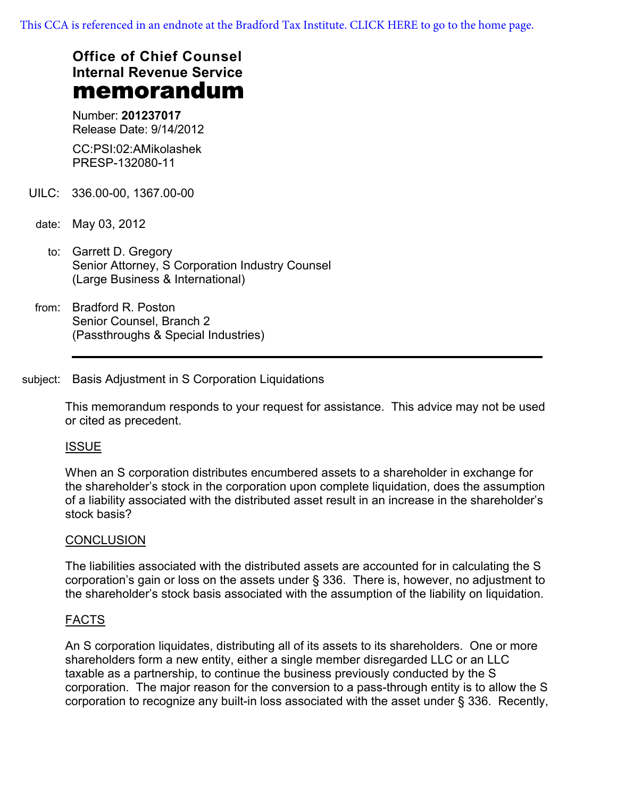[This CCA is referenced in an endnote at the Bradford Tax Institute. CLICK HERE to go to the home page.](http://bradfordtaxinstitute.com/index1.aspx)

# **Office of Chief Counsel Internal Revenue Service** memorandum

Number: **201237017** Release Date: 9/14/2012

CC:PSI:02:AMikolashek PRESP-132080-11

- UILC: 336.00-00, 1367.00-00
- date: May 03, 2012
	- to: Garrett D. Gregory Senior Attorney, S Corporation Industry Counsel (Large Business & International)
- from: Bradford R. Poston Senior Counsel, Branch 2 (Passthroughs & Special Industries)

## subject: Basis Adjustment in S Corporation Liquidations

This memorandum responds to your request for assistance. This advice may not be used or cited as precedent.

## ISSUE

When an S corporation distributes encumbered assets to a shareholder in exchange for the shareholder's stock in the corporation upon complete liquidation, does the assumption of a liability associated with the distributed asset result in an increase in the shareholder's stock basis?

## **CONCLUSION**

The liabilities associated with the distributed assets are accounted for in calculating the S corporation's gain or loss on the assets under § 336. There is, however, no adjustment to the shareholder's stock basis associated with the assumption of the liability on liquidation.

## FACTS

An S corporation liquidates, distributing all of its assets to its shareholders. One or more shareholders form a new entity, either a single member disregarded LLC or an LLC taxable as a partnership, to continue the business previously conducted by the S corporation. The major reason for the conversion to a pass-through entity is to allow the S corporation to recognize any built-in loss associated with the asset under § 336. Recently,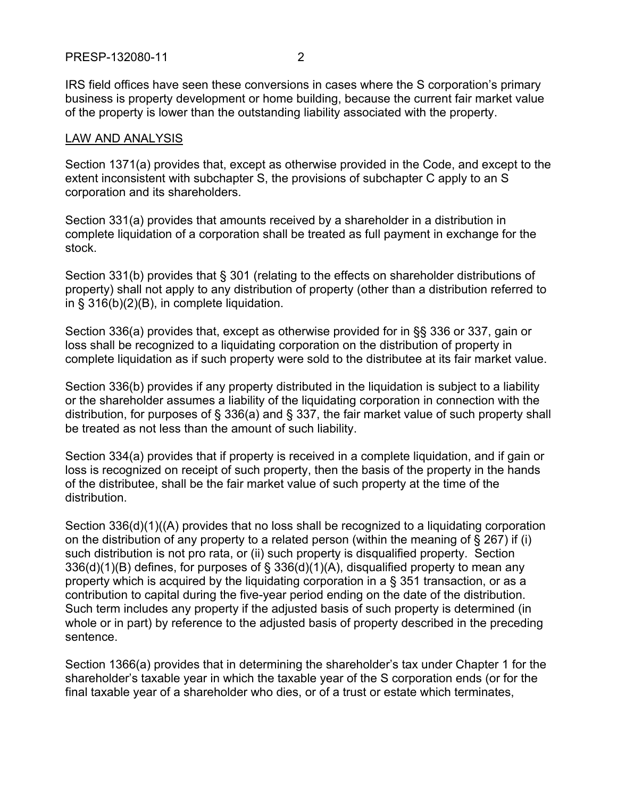IRS field offices have seen these conversions in cases where the S corporation's primary business is property development or home building, because the current fair market value of the property is lower than the outstanding liability associated with the property.

### LAW AND ANALYSIS

Section 1371(a) provides that, except as otherwise provided in the Code, and except to the extent inconsistent with subchapter S, the provisions of subchapter C apply to an S corporation and its shareholders.

Section 331(a) provides that amounts received by a shareholder in a distribution in complete liquidation of a corporation shall be treated as full payment in exchange for the stock.

Section 331(b) provides that § 301 (relating to the effects on shareholder distributions of property) shall not apply to any distribution of property (other than a distribution referred to in § 316(b)(2)(B), in complete liquidation.

Section 336(a) provides that, except as otherwise provided for in §§ 336 or 337, gain or loss shall be recognized to a liquidating corporation on the distribution of property in complete liquidation as if such property were sold to the distributee at its fair market value.

Section 336(b) provides if any property distributed in the liquidation is subject to a liability or the shareholder assumes a liability of the liquidating corporation in connection with the distribution, for purposes of § 336(a) and § 337, the fair market value of such property shall be treated as not less than the amount of such liability.

Section 334(a) provides that if property is received in a complete liquidation, and if gain or loss is recognized on receipt of such property, then the basis of the property in the hands of the distributee, shall be the fair market value of such property at the time of the distribution.

Section 336(d)(1)((A) provides that no loss shall be recognized to a liquidating corporation on the distribution of any property to a related person (within the meaning of  $\S$  267) if (i) such distribution is not pro rata, or (ii) such property is disqualified property. Section 336(d)(1)(B) defines, for purposes of § 336(d)(1)(A), disqualified property to mean any property which is acquired by the liquidating corporation in a § 351 transaction, or as a contribution to capital during the five-year period ending on the date of the distribution. Such term includes any property if the adjusted basis of such property is determined (in whole or in part) by reference to the adjusted basis of property described in the preceding sentence.

Section 1366(a) provides that in determining the shareholder's tax under Chapter 1 for the shareholder's taxable year in which the taxable year of the S corporation ends (or for the final taxable year of a shareholder who dies, or of a trust or estate which terminates,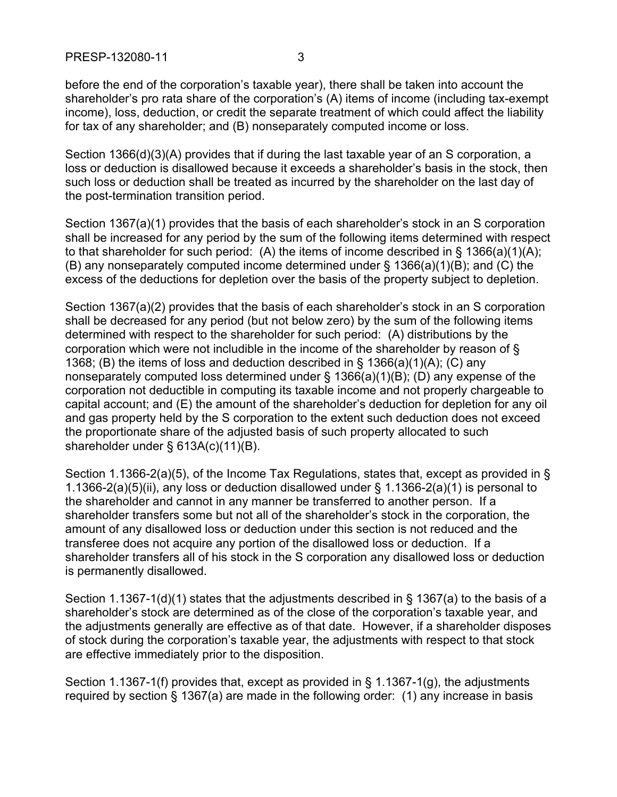before the end of the corporation's taxable year), there shall be taken into account the shareholder's pro rata share of the corporation's (A) items of income (including tax-exempt income), loss, deduction, or credit the separate treatment of which could affect the liability for tax of any shareholder; and (B) nonseparately computed income or loss.

Section 1366(d)(3)(A) provides that if during the last taxable year of an S corporation, a loss or deduction is disallowed because it exceeds a shareholder's basis in the stock, then such loss or deduction shall be treated as incurred by the shareholder on the last day of the post-termination transition period.

Section 1367(a)(1) provides that the basis of each shareholder's stock in an S corporation shall be increased for any period by the sum of the following items determined with respect to that shareholder for such period: (A) the items of income described in § 1366(a)(1)(A); (B) any nonseparately computed income determined under § 1366(a)(1)(B); and (C) the excess of the deductions for depletion over the basis of the property subject to depletion.

Section 1367(a)(2) provides that the basis of each shareholder's stock in an S corporation shall be decreased for any period (but not below zero) by the sum of the following items determined with respect to the shareholder for such period: (A) distributions by the corporation which were not includible in the income of the shareholder by reason of § 1368; (B) the items of loss and deduction described in § 1366(a)(1)(A); (C) any nonseparately computed loss determined under § 1366(a)(1)(B); (D) any expense of the corporation not deductible in computing its taxable income and not properly chargeable to capital account; and (E) the amount of the shareholder's deduction for depletion for any oil and gas property held by the S corporation to the extent such deduction does not exceed the proportionate share of the adjusted basis of such property allocated to such shareholder under § 613A(c)(11)(B).

Section 1.1366-2(a)(5), of the Income Tax Regulations, states that, except as provided in § 1.1366-2(a)(5)(ii), any loss or deduction disallowed under § 1.1366-2(a)(1) is personal to the shareholder and cannot in any manner be transferred to another person. If a shareholder transfers some but not all of the shareholder's stock in the corporation, the amount of any disallowed loss or deduction under this section is not reduced and the transferee does not acquire any portion of the disallowed loss or deduction. If a shareholder transfers all of his stock in the S corporation any disallowed loss or deduction is permanently disallowed.

Section 1.1367-1(d)(1) states that the adjustments described in § 1367(a) to the basis of a shareholder's stock are determined as of the close of the corporation's taxable year, and the adjustments generally are effective as of that date. However, if a shareholder disposes of stock during the corporation's taxable year, the adjustments with respect to that stock are effective immediately prior to the disposition.

Section 1.1367-1(f) provides that, except as provided in § 1.1367-1(g), the adjustments required by section § 1367(a) are made in the following order: (1) any increase in basis